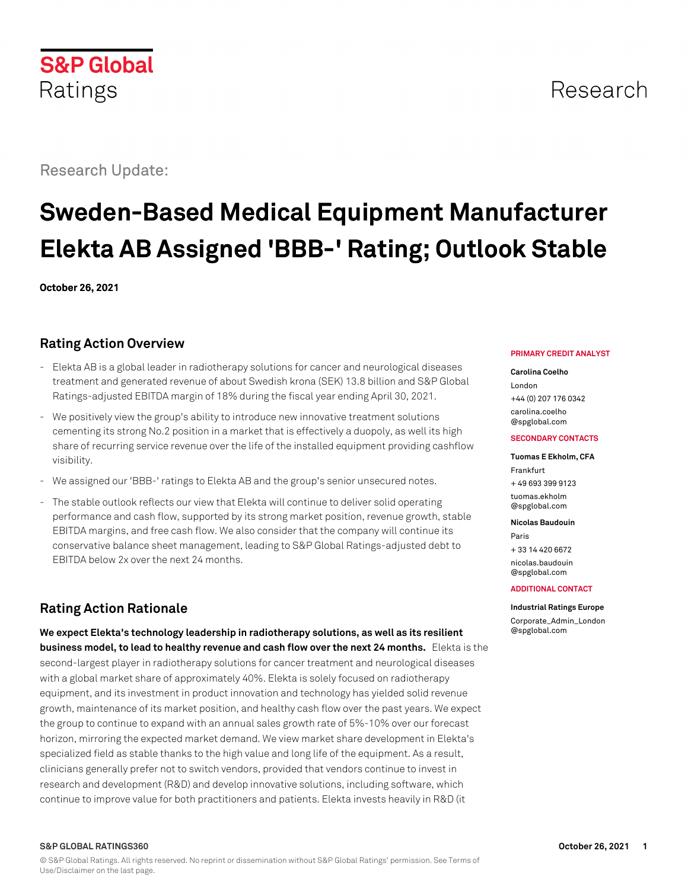

# Research Update:

# Research

# **Sweden-Based Medical Equipment Manufacturer Elekta AB Assigned 'BBB-' Rating; Outlook Stable**

**October 26, 2021**

# **Rating Action Overview**

- Elekta AB is a global leader in radiotherapy solutions for cancer and neurological diseases treatment and generated revenue of about Swedish krona (SEK) 13.8 billion and S&P Global Ratings-adjusted EBITDA margin of 18% during the fiscal year ending April 30, 2021.
- We positively view the group's ability to introduce new innovative treatment solutions cementing its strong No.2 position in a market that is effectively a duopoly, as well its high share of recurring service revenue over the life of the installed equipment providing cashflow visibility.
- We assigned our 'BBB-' ratings to Elekta AB and the group's senior unsecured notes.
- The stable outlook reflects our view that Elekta will continue to deliver solid operating performance and cash flow, supported by its strong market position, revenue growth, stable EBITDA margins, and free cash flow. We also consider that the company will continue its conservative balance sheet management, leading to S&P Global Ratings-adjusted debt to EBITDA below 2x over the next 24 months.

# **Rating Action Rationale**

**We expect Elekta's technology leadership in radiotherapy solutions, as well as its resilient business model, to lead to healthy revenue and cash flow over the next 24 months.** Elekta is the second-largest player in radiotherapy solutions for cancer treatment and neurological diseases with a global market share of approximately 40%. Elekta is solely focused on radiotherapy equipment, and its investment in product innovation and technology has yielded solid revenue growth, maintenance of its market position, and healthy cash flow over the past years. We expect the group to continue to expand with an annual sales growth rate of 5%-10% over our forecast horizon, mirroring the expected market demand. We view market share development in Elekta's specialized field as stable thanks to the high value and long life of the equipment. As a result, clinicians generally prefer not to switch vendors, provided that vendors continue to invest in research and development (R&D) and develop innovative solutions, including software, which continue to improve value for both practitioners and patients. Elekta invests heavily in R&D (it

#### **PRIMARY CREDIT ANALYST**

#### **Carolina Coelho**

London +44 (0) 207 176 0342 [carolina.coelho](mailto:carolina.coelho@spglobal.com) [@spglobal.com](mailto:carolina.coelho@spglobal.com)

#### **SECONDARY CONTACTS**

#### **Tuomas E Ekholm, CFA** Frankfurt + 49 693 399 9123 [tuomas.ekholm](mailto:tuomas.ekholm@spglobal.com) [@spglobal.com](mailto:tuomas.ekholm@spglobal.com)

**Nicolas Baudouin**

Paris + 33 14 420 6672 [nicolas.baudouin](mailto:nicolas.baudouin@spglobal.com) [@spglobal.com](mailto:nicolas.baudouin@spglobal.com)

#### **ADDITIONAL CONTACT**

**Industrial Ratings Europe** [Corporate\\_Admin\\_London](mailto:Corporate_Admin_London@spglobal.com) [@spglobal.com](mailto:Corporate_Admin_London@spglobal.com)

#### **S&P GLOBAL RATINGS360 October 26, 2021 1**

© S&P Global Ratings. All rights reserved. No reprint or dissemination without S&P Global Ratings' permission. See Terms of Use/Disclaimer on the last page.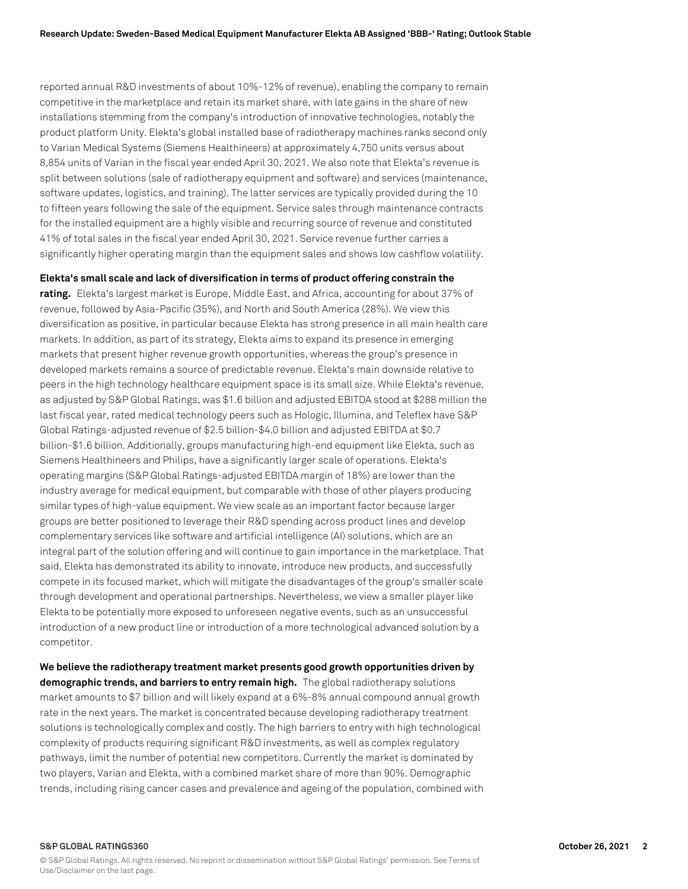reported annual R&D investments of about 10%-12% of revenue), enabling the company to remain competitive in the marketplace and retain its market share, with late gains in the share of new installations stemming from the company's introduction of innovative technologies, notably the product platform Unity. Elekta's global installed base of radiotherapy machines ranks second only to Varian Medical Systems (Siemens Healthineers) at approximately 4,750 units versus about 8,854 units of Varian in the fiscal year ended April 30, 2021. We also note that Elekta's revenue is split between solutions (sale of radiotherapy equipment and software) and services (maintenance, software updates, logistics, and training). The latter services are typically provided during the 10 to fifteen years following the sale of the equipment. Service sales through maintenance contracts for the installed equipment are a highly visible and recurring source of revenue and constituted 41% of total sales in the fiscal year ended April 30, 2021. Service revenue further carries a significantly higher operating margin than the equipment sales and shows low cashflow volatility.

**Elekta's small scale and lack of diversification in terms of product offering constrain the**

**rating.** Elekta's largest market is Europe, Middle East, and Africa, accounting for about 37% of revenue, followed by Asia-Pacific (35%), and North and South America (28%). We view this diversification as positive, in particular because Elekta has strong presence in all main health care markets. In addition, as part of its strategy, Elekta aims to expand its presence in emerging markets that present higher revenue growth opportunities, whereas the group's presence in developed markets remains a source of predictable revenue. Elekta's main downside relative to peers in the high technology healthcare equipment space is its small size. While Elekta's revenue, as adjusted by S&P Global Ratings, was \$1.6 billion and adjusted EBITDA stood at \$288 million the last fiscal year, rated medical technology peers such as Hologic, Illumina, and Teleflex have S&P Global Ratings-adjusted revenue of \$2.5 billion-\$4.0 billion and adjusted EBITDA at \$0.7 billion-\$1.6 billion. Additionally, groups manufacturing high-end equipment like Elekta, such as Siemens Healthineers and Philips, have a significantly larger scale of operations. Elekta's operating margins (S&P Global Ratings-adjusted EBITDA margin of 18%) are lower than the industry average for medical equipment, but comparable with those of other players producing similar types of high-value equipment. We view scale as an important factor because larger groups are better positioned to leverage their R&D spending across product lines and develop complementary services like software and artificial intelligence (AI) solutions, which are an integral part of the solution offering and will continue to gain importance in the marketplace. That said, Elekta has demonstrated its ability to innovate, introduce new products, and successfully compete in its focused market, which will mitigate the disadvantages of the group's smaller scale through development and operational partnerships. Nevertheless, we view a smaller player like Elekta to be potentially more exposed to unforeseen negative events, such as an unsuccessful introduction of a new product line or introduction of a more technological advanced solution by a competitor.

**We believe the radiotherapy treatment market presents good growth opportunities driven by demographic trends, and barriers to entry remain high.** The global radiotherapy solutions market amounts to \$7 billion and will likely expand at a 6%-8% annual compound annual growth rate in the next years. The market is concentrated because developing radiotherapy treatment solutions is technologically complex and costly. The high barriers to entry with high technological complexity of products requiring significant R&D investments, as well as complex regulatory pathways, limit the number of potential new competitors. Currently the market is dominated by two players, Varian and Elekta, with a combined market share of more than 90%. Demographic trends, including rising cancer cases and prevalence and ageing of the population, combined with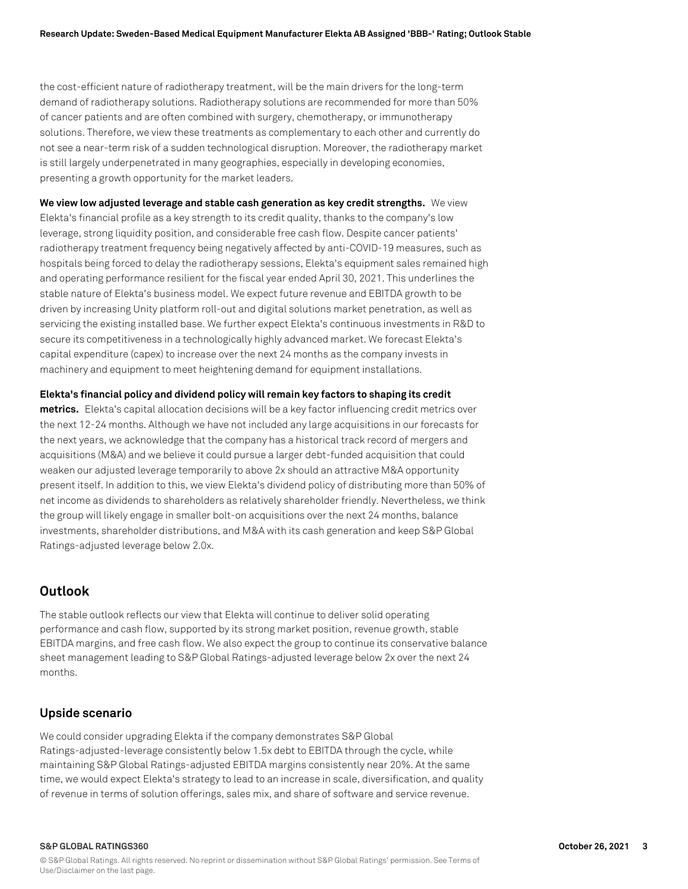the cost-efficient nature of radiotherapy treatment, will be the main drivers for the long-term demand of radiotherapy solutions. Radiotherapy solutions are recommended for more than 50% of cancer patients and are often combined with surgery, chemotherapy, or immunotherapy solutions. Therefore, we view these treatments as complementary to each other and currently do not see a near-term risk of a sudden technological disruption. Moreover, the radiotherapy market is still largely underpenetrated in many geographies, especially in developing economies, presenting a growth opportunity for the market leaders.

**We view low adjusted leverage and stable cash generation as key credit strengths.** We view Elekta's financial profile as a key strength to its credit quality, thanks to the company's low leverage, strong liquidity position, and considerable free cash flow. Despite cancer patients' radiotherapy treatment frequency being negatively affected by anti-COVID-19 measures, such as hospitals being forced to delay the radiotherapy sessions, Elekta's equipment sales remained high and operating performance resilient for the fiscal year ended April 30, 2021. This underlines the stable nature of Elekta's business model. We expect future revenue and EBITDA growth to be driven by increasing Unity platform roll-out and digital solutions market penetration, as well as servicing the existing installed base. We further expect Elekta's continuous investments in R&D to secure its competitiveness in a technologically highly advanced market. We forecast Elekta's capital expenditure (capex) to increase over the next 24 months as the company invests in machinery and equipment to meet heightening demand for equipment installations.

**Elekta's financial policy and dividend policy will remain key factors to shaping its credit**

**metrics.** Elekta's capital allocation decisions will be a key factor influencing credit metrics over the next 12-24 months. Although we have not included any large acquisitions in our forecasts for the next years, we acknowledge that the company has a historical track record of mergers and acquisitions (M&A) and we believe it could pursue a larger debt-funded acquisition that could weaken our adjusted leverage temporarily to above 2x should an attractive M&A opportunity present itself. In addition to this, we view Elekta's dividend policy of distributing more than 50% of net income as dividends to shareholders as relatively shareholder friendly. Nevertheless, we think the group will likely engage in smaller bolt-on acquisitions over the next 24 months, balance investments, shareholder distributions, and M&A with its cash generation and keep S&P Global Ratings-adjusted leverage below 2.0x.

# **Outlook**

The stable outlook reflects our view that Elekta will continue to deliver solid operating performance and cash flow, supported by its strong market position, revenue growth, stable EBITDA margins, and free cash flow. We also expect the group to continue its conservative balance sheet management leading to S&P Global Ratings-adjusted leverage below 2x over the next 24 months.

## **Upside scenario**

We could consider upgrading Elekta if the company demonstrates S&P Global Ratings-adjusted-leverage consistently below 1.5x debt to EBITDA through the cycle, while maintaining S&P Global Ratings-adjusted EBITDA margins consistently near 20%. At the same time, we would expect Elekta's strategy to lead to an increase in scale, diversification, and quality of revenue in terms of solution offerings, sales mix, and share of software and service revenue.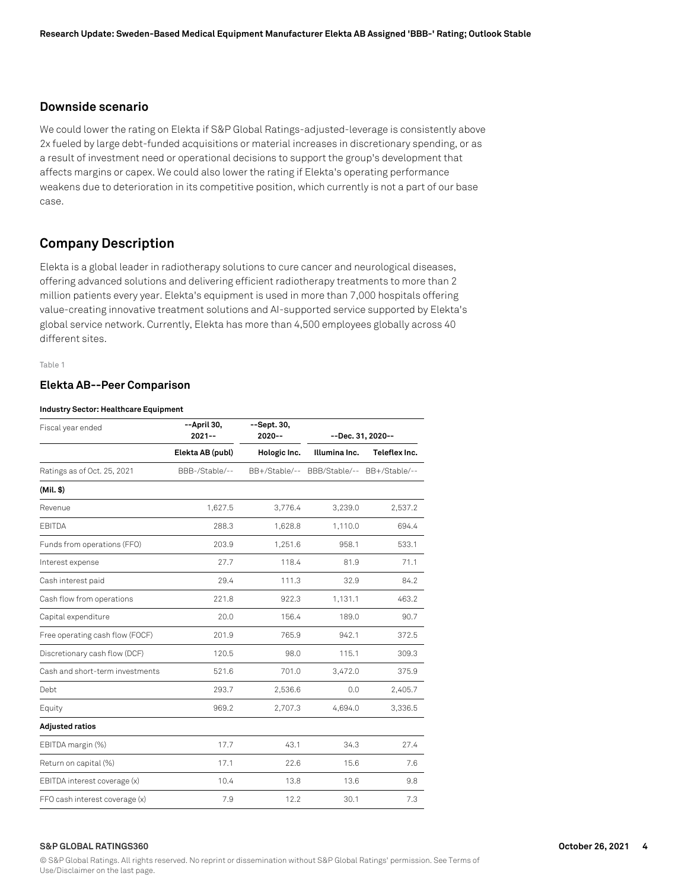# **Downside scenario**

We could lower the rating on Elekta if S&P Global Ratings-adjusted-leverage is consistently above 2x fueled by large debt-funded acquisitions or material increases in discretionary spending, or as a result of investment need or operational decisions to support the group's development that affects margins or capex. We could also lower the rating if Elekta's operating performance weakens due to deterioration in its competitive position, which currently is not a part of our base case.

# **Company Description**

Elekta is a global leader in radiotherapy solutions to cure cancer and neurological diseases, offering advanced solutions and delivering efficient radiotherapy treatments to more than 2 million patients every year. Elekta's equipment is used in more than 7,000 hospitals offering value-creating innovative treatment solutions and AI-supported service supported by Elekta's global service network. Currently, Elekta has more than 4,500 employees globally across 40 different sites.

Table 1

## **Elekta AB--Peer Comparison**

#### **Industry Sector: Healthcare Equipment**

| Fiscal year ended               | --April 30,<br>$2021 - -$ | --Sept. 30,<br>$2020 - -$ |                                           | --Dec. 31, 2020-- |
|---------------------------------|---------------------------|---------------------------|-------------------------------------------|-------------------|
|                                 | Elekta AB (publ)          | Hologic Inc.              | Illumina Inc.                             | Teleflex Inc.     |
| Ratings as of Oct. 25, 2021     | BBB-/Stable/--            |                           | BB+/Stable/-- BBB/Stable/-- BB+/Stable/-- |                   |
| $(Mil.$ \$)                     |                           |                           |                                           |                   |
| Revenue                         | 1,627.5                   | 3,776.4                   | 3,239.0                                   | 2,537.2           |
| <b>EBITDA</b>                   | 288.3                     | 1,628.8                   | 1,110.0                                   | 694.4             |
| Funds from operations (FFO)     | 203.9                     | 1,251.6                   | 958.1                                     | 533.1             |
| Interest expense                | 27.7                      | 118.4                     | 81.9                                      | 71.1              |
| Cash interest paid              | 29.4                      | 111.3                     | 32.9                                      | 84.2              |
| Cash flow from operations       | 221.8                     | 922.3                     | 1,131.1                                   | 463.2             |
| Capital expenditure             | 20.0                      | 156.4                     | 189.0                                     | 90.7              |
| Free operating cash flow (FOCF) | 201.9                     | 765.9                     | 942.1                                     | 372.5             |
| Discretionary cash flow (DCF)   | 120.5                     | 98.0                      | 115.1                                     | 309.3             |
| Cash and short-term investments | 521.6                     | 701.0                     | 3,472.0                                   | 375.9             |
| Debt                            | 293.7                     | 2,536.6                   | 0.0                                       | 2,405.7           |
| Equity                          | 969.2                     | 2,707.3                   | 4,694.0                                   | 3,336.5           |
| <b>Adjusted ratios</b>          |                           |                           |                                           |                   |
| EBITDA margin (%)               | 17.7                      | 43.1                      | 34.3                                      | 27.4              |
| Return on capital (%)           | 17.1                      | 22.6                      | 15.6                                      | 7.6               |
| EBITDA interest coverage (x)    | 10.4                      | 13.8                      | 13.6                                      | 9.8               |
| FFO cash interest coverage (x)  | 7.9                       | 12.2                      | 30.1                                      | 7.3               |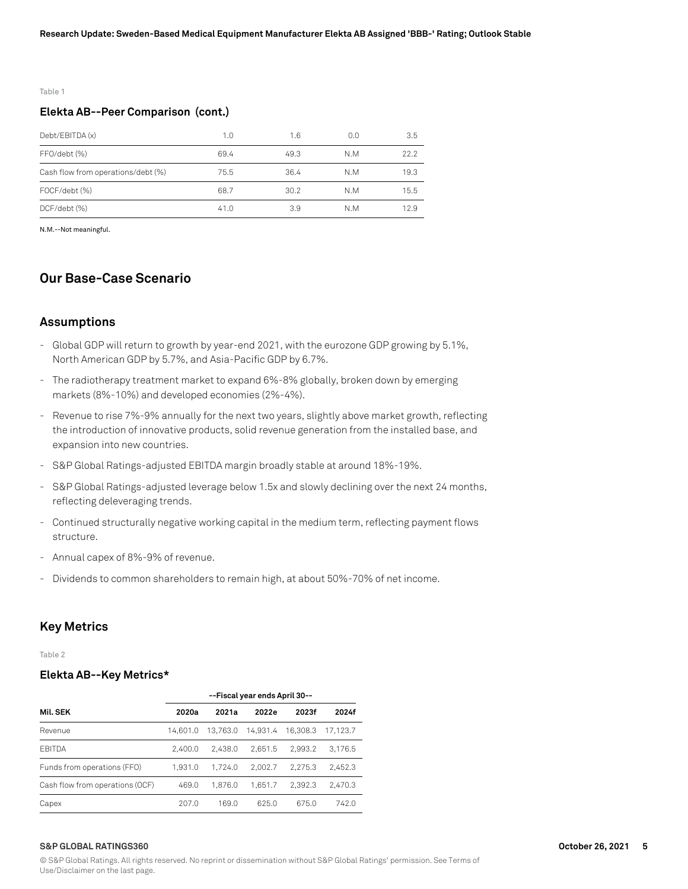#### Table 1

## **Elekta AB--Peer Comparison (cont.)**

| Debt/EBITDA (x)                    | 1.0  | 1.6  | 0.0 | 3.5  |
|------------------------------------|------|------|-----|------|
| FFO/debt (%)                       | 69.4 | 49.3 | N.M | 22.2 |
| Cash flow from operations/debt (%) | 75.5 | 36.4 | N.M | 19.3 |
| FOCF/debt (%)                      | 68.7 | 30.2 | N.M | 15.5 |
| DCF/debt (%)                       | 41.0 | 3.9  | N.M | 12.9 |

N.M.--Not meaningful.

# **Our Base-Case Scenario**

## **Assumptions**

- Global GDP will return to growth by year-end 2021, with the eurozone GDP growing by 5.1%, North American GDP by 5.7%, and Asia-Pacific GDP by 6.7%.
- The radiotherapy treatment market to expand 6%-8% globally, broken down by emerging markets (8%-10%) and developed economies (2%-4%).
- Revenue to rise 7%-9% annually for the next two years, slightly above market growth, reflecting the introduction of innovative products, solid revenue generation from the installed base, and expansion into new countries.
- S&P Global Ratings-adjusted EBITDA margin broadly stable at around 18%-19%.
- S&P Global Ratings-adjusted leverage below 1.5x and slowly declining over the next 24 months, reflecting deleveraging trends.
- Continued structurally negative working capital in the medium term, reflecting payment flows structure.
- Annual capex of 8%-9% of revenue.
- Dividends to common shareholders to remain high, at about 50%-70% of net income.

## **Key Metrics**

Table 2

## **Elekta AB--Key Metrics\***

|                                 | --Fiscal year ends April 30-- |          |          |          |          |
|---------------------------------|-------------------------------|----------|----------|----------|----------|
| Mil. SEK                        | 2020a                         | 2021a    | 2022e    | 2023f    | 2024f    |
| Revenue                         | 14.601.0                      | 13.763.0 | 14.931.4 | 16.308.3 | 17.123.7 |
| <b>FBITDA</b>                   | 2.400.0                       | 2.438.0  | 2.651.5  | 2.993.2  | 3.176.5  |
| Funds from operations (FFO)     | 1.931.0                       | 1.724.0  | 2.002.7  | 2.275.3  | 2.452.3  |
| Cash flow from operations (OCF) | 469.0                         | 1.876.0  | 1.651.7  | 2.392.3  | 2.470.3  |
| Capex                           | 207.0                         | 169.0    | 625.0    | 675.0    | 742.0    |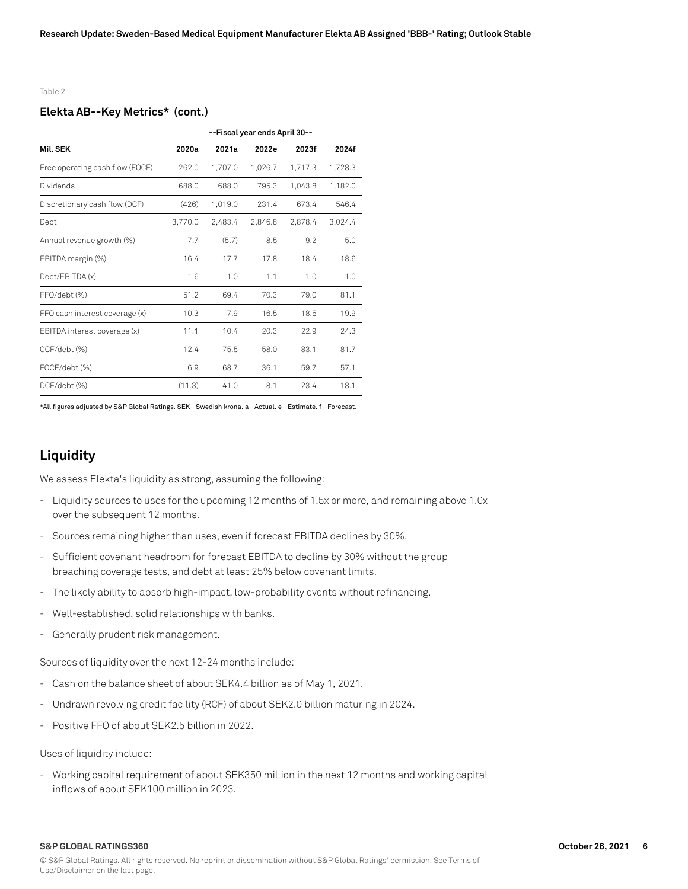#### Table 2

## **Elekta AB--Key Metrics\* (cont.)**

|                                 | --Fiscal year ends April 30-- |         |         |         |         |
|---------------------------------|-------------------------------|---------|---------|---------|---------|
| Mil. SEK                        | 2020a                         | 2021a   | 2022e   | 2023f   | 2024f   |
| Free operating cash flow (FOCF) | 262.0                         | 1,707.0 | 1,026.7 | 1,717.3 | 1,728.3 |
| Dividends                       | 688.0                         | 688.0   | 795.3   | 1,043.8 | 1,182.0 |
| Discretionary cash flow (DCF)   | (426)                         | 1.019.0 | 231.4   | 673.4   | 546.4   |
| Debt                            | 3,770.0                       | 2.483.4 | 2.846.8 | 2.878.4 | 3.024.4 |
| Annual revenue growth (%)       | 7.7                           | (5.7)   | 8.5     | 9.2     | 5.0     |
| EBITDA margin (%)               | 16.4                          | 17.7    | 17.8    | 18.4    | 18.6    |
| Debt/EBITDA (x)                 | 1.6                           | 1.0     | 1.1     | 1.0     | 1.0     |
| FFO/debt (%)                    | 51.2                          | 69.4    | 70.3    | 79.0    | 81.1    |
| FFO cash interest coverage (x)  | 10.3                          | 7.9     | 16.5    | 18.5    | 19.9    |
| EBITDA interest coverage (x)    | 11.1                          | 10.4    | 20.3    | 22.9    | 24.3    |
| OCF/debt (%)                    | 12.4                          | 75.5    | 58.0    | 83.1    | 81.7    |
| FOCF/debt (%)                   | 6.9                           | 68.7    | 36.1    | 59.7    | 57.1    |
| DCF/debt (%)                    | (11.3)                        | 41.0    | 8.1     | 23.4    | 18.1    |

\*All figures adjusted by S&P Global Ratings. SEK--Swedish krona. a--Actual. e--Estimate. f--Forecast.

# **Liquidity**

We assess Elekta's liquidity as strong, assuming the following:

- Liquidity sources to uses for the upcoming 12 months of 1.5x or more, and remaining above 1.0x over the subsequent 12 months.
- Sources remaining higher than uses, even if forecast EBITDA declines by 30%.
- Sufficient covenant headroom for forecast EBITDA to decline by 30% without the group breaching coverage tests, and debt at least 25% below covenant limits.
- The likely ability to absorb high-impact, low-probability events without refinancing.
- Well-established, solid relationships with banks.
- Generally prudent risk management.

Sources of liquidity over the next 12-24 months include:

- Cash on the balance sheet of about SEK4.4 billion as of May 1, 2021.
- Undrawn revolving credit facility (RCF) of about SEK2.0 billion maturing in 2024.
- Positive FFO of about SEK2.5 billion in 2022.

Uses of liquidity include:

- Working capital requirement of about SEK350 million in the next 12 months and working capital inflows of about SEK100 million in 2023.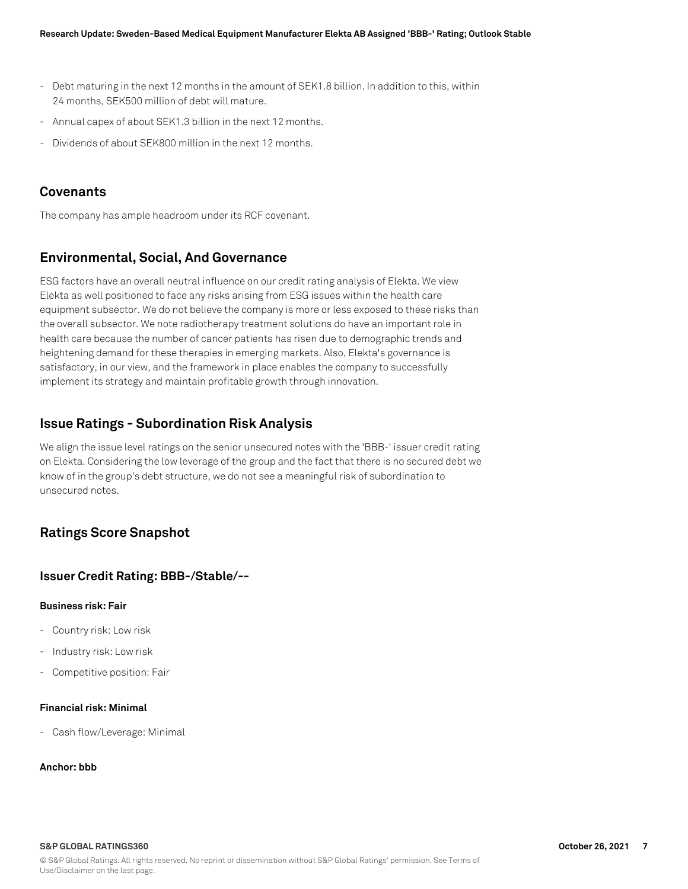- Debt maturing in the next 12 months in the amount of SEK1.8 billion. In addition to this, within 24 months, SEK500 million of debt will mature.
- Annual capex of about SEK1.3 billion in the next 12 months.
- Dividends of about SEK800 million in the next 12 months.

# **Covenants**

The company has ample headroom under its RCF covenant.

# **Environmental, Social, And Governance**

ESG factors have an overall neutral influence on our credit rating analysis of Elekta. We view Elekta as well positioned to face any risks arising from ESG issues within the health care equipment subsector. We do not believe the company is more or less exposed to these risks than the overall subsector. We note radiotherapy treatment solutions do have an important role in health care because the number of cancer patients has risen due to demographic trends and heightening demand for these therapies in emerging markets. Also, Elekta's governance is satisfactory, in our view, and the framework in place enables the company to successfully implement its strategy and maintain profitable growth through innovation.

# **Issue Ratings - Subordination Risk Analysis**

We align the issue level ratings on the senior unsecured notes with the 'BBB-' issuer credit rating on Elekta. Considering the low leverage of the group and the fact that there is no secured debt we know of in the group's debt structure, we do not see a meaningful risk of subordination to unsecured notes.

# **Ratings Score Snapshot**

# **Issuer Credit Rating: BBB-/Stable/--**

## **Business risk: Fair**

- Country risk: Low risk
- Industry risk: Low risk
- Competitive position: Fair

## **Financial risk: Minimal**

- Cash flow/Leverage: Minimal

## **Anchor: bbb**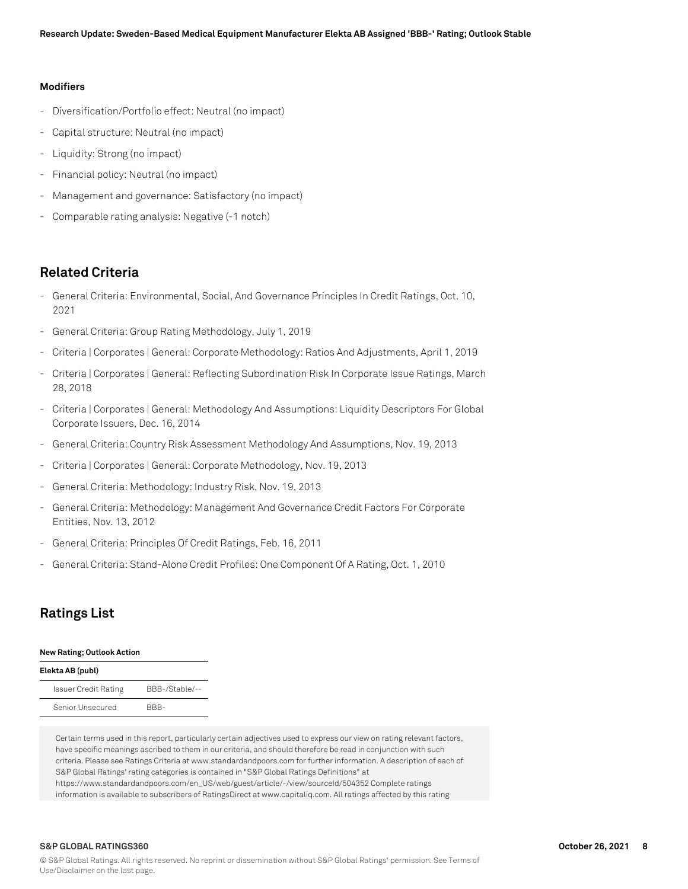## **Modifiers**

- Diversification/Portfolio effect: Neutral (no impact)
- Capital structure: Neutral (no impact)
- Liquidity: Strong (no impact)
- Financial policy: Neutral (no impact)
- Management and governance: Satisfactory (no impact)
- Comparable rating analysis: Negative (-1 notch)

# **Related Criteria**

- General Criteria: Environmental, Social, And Governance Principles In Credit Ratings, Oct. 10, 2021
- General Criteria: Group Rating Methodology, July 1, 2019
- Criteria | Corporates | General: Corporate Methodology: Ratios And Adjustments, April 1, 2019
- Criteria | Corporates | General: Reflecting Subordination Risk In Corporate Issue Ratings, March 28, 2018
- Criteria | Corporates | General: Methodology And Assumptions: Liquidity Descriptors For Global Corporate Issuers, Dec. 16, 2014
- General Criteria: Country Risk Assessment Methodology And Assumptions, Nov. 19, 2013
- Criteria | Corporates | General: Corporate Methodology, Nov. 19, 2013
- General Criteria: Methodology: Industry Risk, Nov. 19, 2013
- General Criteria: Methodology: Management And Governance Credit Factors For Corporate Entities, Nov. 13, 2012
- General Criteria: Principles Of Credit Ratings, Feb. 16, 2011
- General Criteria: Stand-Alone Credit Profiles: One Component Of A Rating, Oct. 1, 2010

# **Ratings List**

#### **New Rating; Outlook Action**

| Elekta AB (publ)            |                |
|-----------------------------|----------------|
| <b>Issuer Credit Rating</b> | BBB-/Stable/-- |
| Senior Unsecured            | RRR-           |

Certain terms used in this report, particularly certain adjectives used to express our view on rating relevant factors, have specific meanings ascribed to them in our criteria, and should therefore be read in conjunction with such criteria. Please see Ratings Criteria at www.standardandpoors.com for further information. A description of each of S&P Global Ratings' rating categories is contained in "S&P Global Ratings Definitions" at https://www.standardandpoors.com/en\_US/web/guest/article/-/view/sourceId/504352 Complete ratings information is available to subscribers of RatingsDirect at www.capitaliq.com. All ratings affected by this rating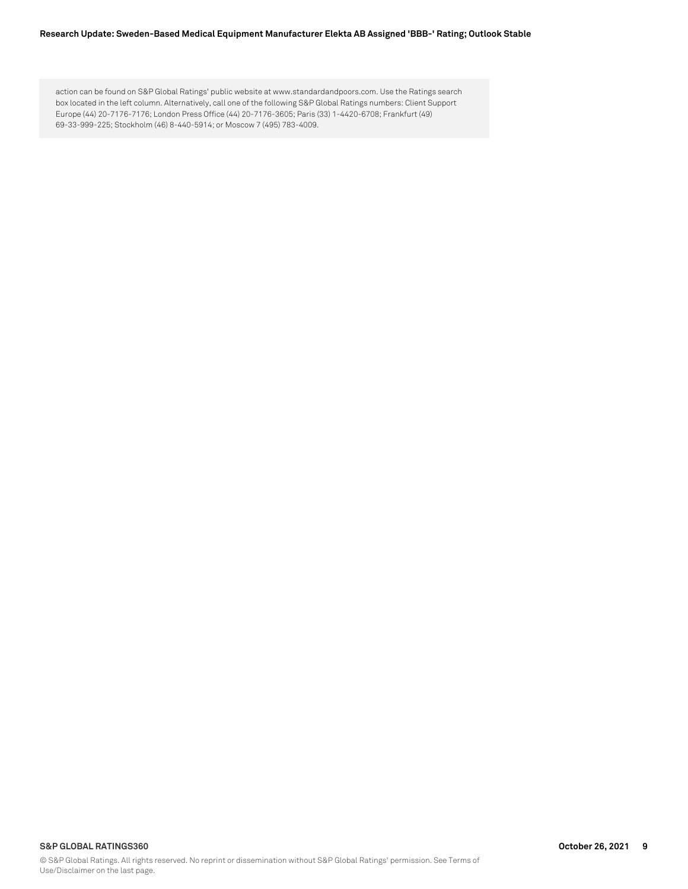#### **Research Update: Sweden-Based Medical Equipment Manufacturer Elekta AB Assigned 'BBB-' Rating; Outlook Stable**

action can be found on S&P Global Ratings' public website at www.standardandpoors.com. Use the Ratings search box located in the left column. Alternatively, call one of the following S&P Global Ratings numbers: Client Support Europe (44) 20-7176-7176; London Press Office (44) 20-7176-3605; Paris (33) 1-4420-6708; Frankfurt (49) 69-33-999-225; Stockholm (46) 8-440-5914; or Moscow 7 (495) 783-4009.